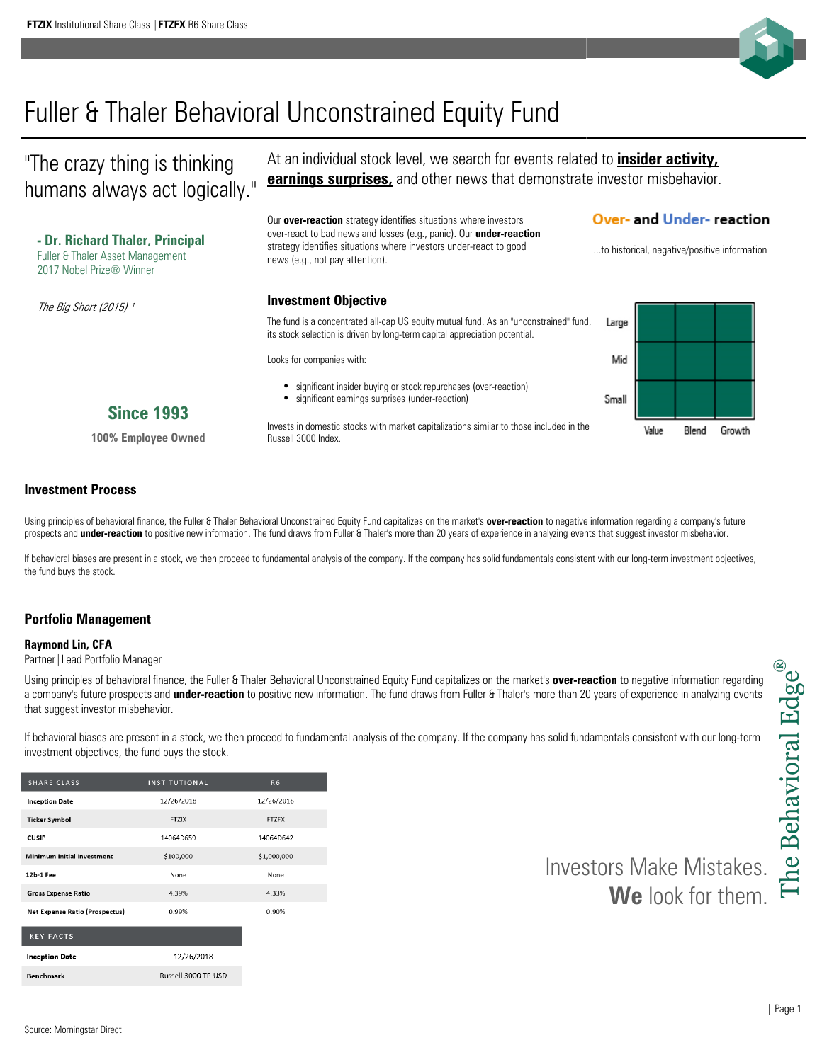

# Fuller & Thaler Behavioral Unconstrained Equity Fund

"The crazy thing is thinking humans always act logically." At an individual stock level, we search for events related to **insider activity, earnings surprises,** and other news that demonstrate investor misbehavior.

Our **over-reaction** strategy identifies situations where investors over-react to bad news and losses (e.g., panic). Our **under-reaction**  strategy identifies situations where investors under-react to good

## **Over- and Under- reaction**

| - Dr. Richard Thaler, Principal<br><b>Fuller &amp; Thaler Asset Management</b><br>2017 Nobel Prize® Winner | over-react to bad news and losses (e.g., panic). Our <b>under-reaction</b><br>strategy identifies situations where investors under-react to good<br>news (e.g., not pay attention). |       |       |       | to historical, negative/positive information |
|------------------------------------------------------------------------------------------------------------|-------------------------------------------------------------------------------------------------------------------------------------------------------------------------------------|-------|-------|-------|----------------------------------------------|
| The Big Short (2015) 1                                                                                     | <b>Investment Objective</b>                                                                                                                                                         |       |       |       |                                              |
|                                                                                                            | The fund is a concentrated all-cap US equity mutual fund. As an "unconstrained" fund,<br>its stock selection is driven by long-term capital appreciation potential.                 | Large |       |       |                                              |
|                                                                                                            | Looks for companies with:                                                                                                                                                           | Mid   |       |       |                                              |
| <b>Since 1993</b>                                                                                          | significant insider buying or stock repurchases (over-reaction)<br>significant earnings surprises (under-reaction)<br>٠                                                             | Small |       |       |                                              |
| 100% Employee Owned                                                                                        | Invests in domestic stocks with market capitalizations similar to those included in the<br>Russell 3000 Index.                                                                      |       | Value | Blend | Growth                                       |

### **Investment Process**

Using principles of behavioral finance, the Fuller & Thaler Behavioral Unconstrained Equity Fund capitalizes on the market's **over-reaction** to negative information regarding a company's future prospects and **under-reaction** to positive new information. The fund draws from Fuller & Thaler's more than 20 years of experience in analyzing events that suggest investor misbehavior.

If behavioral biases are present in a stock, we then proceed to fundamental analysis of the company. If the company has solid fundamentals consistent with our long-term investment objectives, the fund buys the stock.

### **Portfolio Management**

#### **Raymond Lin, CFA**

Partner|Lead Portfolio Manager

Using principles of behavioral finance, the Fuller & Thaler Behavioral Unconstrained Equity Fund capitalizes on the market's **over-reaction** to negative information regarding a company's future prospects and **under-reaction** to positive new information. The fund draws from Fuller & Thaler's more than 20 years of experience in analyzing events that suggest investor misbehavior.

If behavioral biases are present in a stock, we then proceed to fundamental analysis of the company. If the company has solid fundamentals consistent with our long-term investment objectives, the fund buys the stock.

| <b>SHARE CLASS</b>                    | <b>INSTITUTIONAL</b> | R <sub>6</sub> |
|---------------------------------------|----------------------|----------------|
| <b>Inception Date</b>                 | 12/26/2018           | 12/26/2018     |
| <b>Ticker Symbol</b>                  | <b>FTZIX</b>         | <b>FTZFX</b>   |
| <b>CUSIP</b>                          | 14064D659            | 14064D642      |
| <b>Minimum Initial Investment</b>     | \$100,000            | \$1,000,000    |
| 12b-1 Fee                             | None                 | None           |
| <b>Gross Expense Ratio</b>            | 4.39%                | 4.33%          |
| <b>Net Expense Ratio (Prospectus)</b> | 0.99%                | 0.90%          |
| <b>KEY FACTS</b>                      |                      |                |
| <b>Inception Date</b>                 | 12/26/2018           |                |
| Demokratische                         | Ducted 2000 TR LICD  |                |

Investors Make Mistakes. **We** look for them.